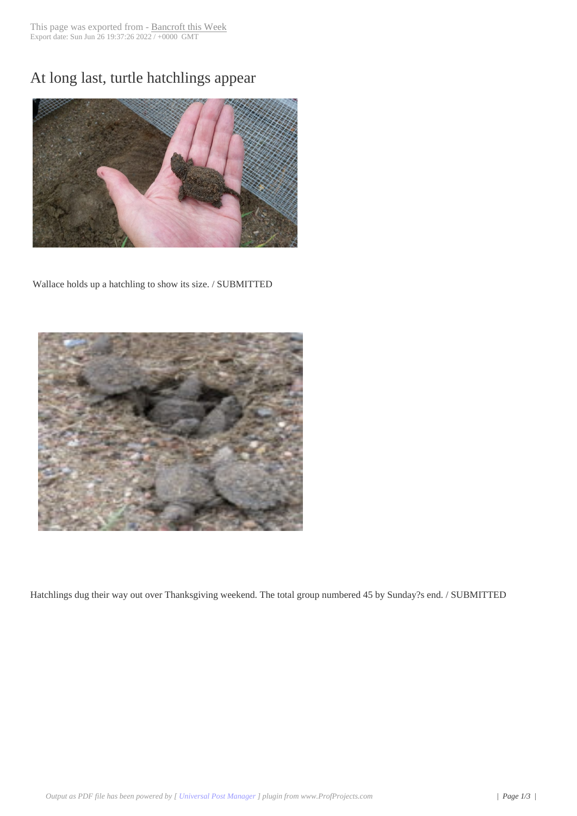## At long last, turtle [hatchlings ap](http://www.bancroftthisweek.com/?p=8449)pear



Wallace holds up a hatchling to show its size. / SUBMITTED



 Hatchlings dug their way out over Thanksgiving weekend. The total group numbered 45 by Sunday?s end. / SUBMITTED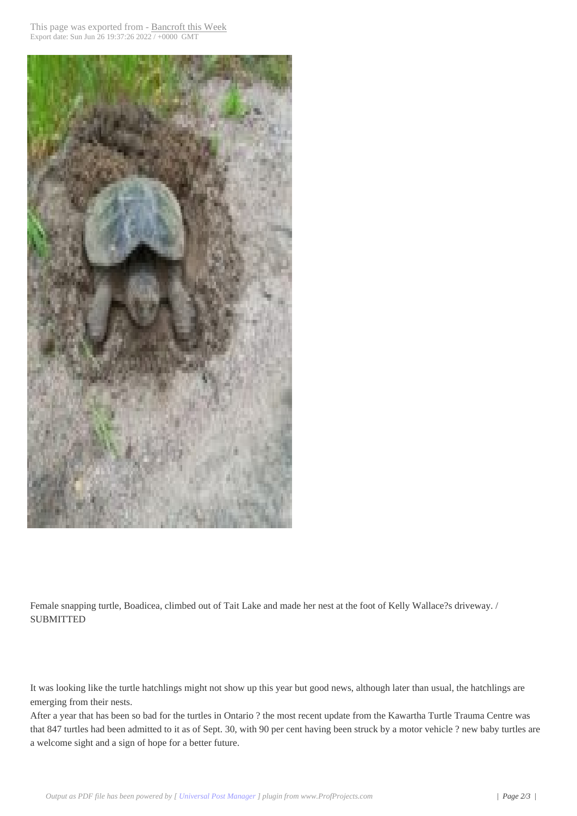

Female snapping turtle, Boadicea, climbed out of Tait Lake and made her nest at the foot of Kelly Wallace?s driveway. / **SUBMITTED** 

It was looking like the turtle hatchlings might not show up this year but good news, although later than usual, the hatchlings are emerging from their nests.

After a year that has been so bad for the turtles in Ontario ? the most recent update from the Kawartha Turtle Trauma Centre was that 847 turtles had been admitted to it as of Sept. 30, with 90 per cent having been struck by a motor vehicle ? new baby turtles are a welcome sight and a sign of hope for a better future.